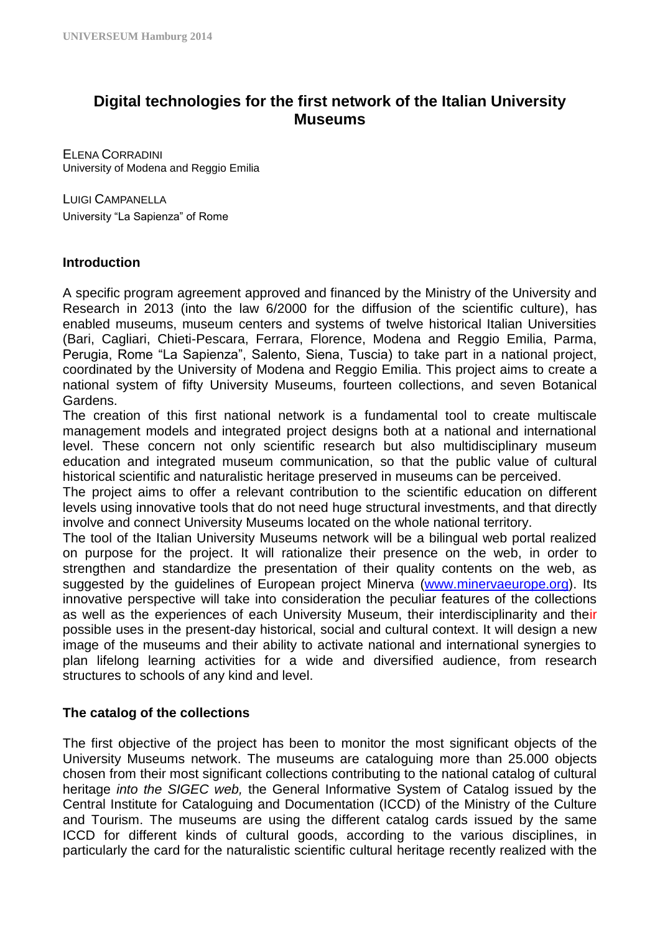# **Digital technologies for the first network of the Italian University Museums**

ELENA CORRADINI University of Modena and Reggio Emilia

LUIGI CAMPANELLA University "La Sapienza" of Rome

#### **Introduction**

A specific program agreement approved and financed by the Ministry of the University and Research in 2013 (into the law 6/2000 for the diffusion of the scientific culture), has enabled museums, museum centers and systems of twelve historical Italian Universities (Bari, Cagliari, Chieti-Pescara, Ferrara, Florence, Modena and Reggio Emilia, Parma, Perugia, Rome "La Sapienza", Salento, Siena, Tuscia) to take part in a national project, coordinated by the University of Modena and Reggio Emilia. This project aims to create a national system of fifty University Museums, fourteen collections, and seven Botanical Gardens.

The creation of this first national network is a fundamental tool to create multiscale management models and integrated project designs both at a national and international level. These concern not only scientific research but also multidisciplinary museum education and integrated museum communication, so that the public value of cultural historical scientific and naturalistic heritage preserved in museums can be perceived.

The project aims to offer a relevant contribution to the scientific education on different levels using innovative tools that do not need huge structural investments, and that directly involve and connect University Museums located on the whole national territory.

The tool of the Italian University Museums network will be a bilingual web portal realized on purpose for the project. It will rationalize their presence on the web, in order to strengthen and standardize the presentation of their quality contents on the web, as suggested by the guidelines of European project Minerva [\(www.minervaeurope.org\)](http://www.minervaeurope.org/). Its innovative perspective will take into consideration the peculiar features of the collections as well as the experiences of each University Museum, their interdisciplinarity and their possible uses in the present-day historical, social and cultural context. It will design a new image of the museums and their ability to activate national and international synergies to plan lifelong learning activities for a wide and diversified audience, from research structures to schools of any kind and level.

### **The catalog of the collections**

The first objective of the project has been to monitor the most significant objects of the University Museums network. The museums are cataloguing more than 25.000 objects chosen from their most significant collections contributing to the national catalog of cultural heritage *into the SIGEC web,* the General Informative System of Catalog issued by the Central Institute for Cataloguing and Documentation (ICCD) of the Ministry of the Culture and Tourism. The museums are using the different catalog cards issued by the same ICCD for different kinds of cultural goods, according to the various disciplines, in particularly the card for the naturalistic scientific cultural heritage recently realized with the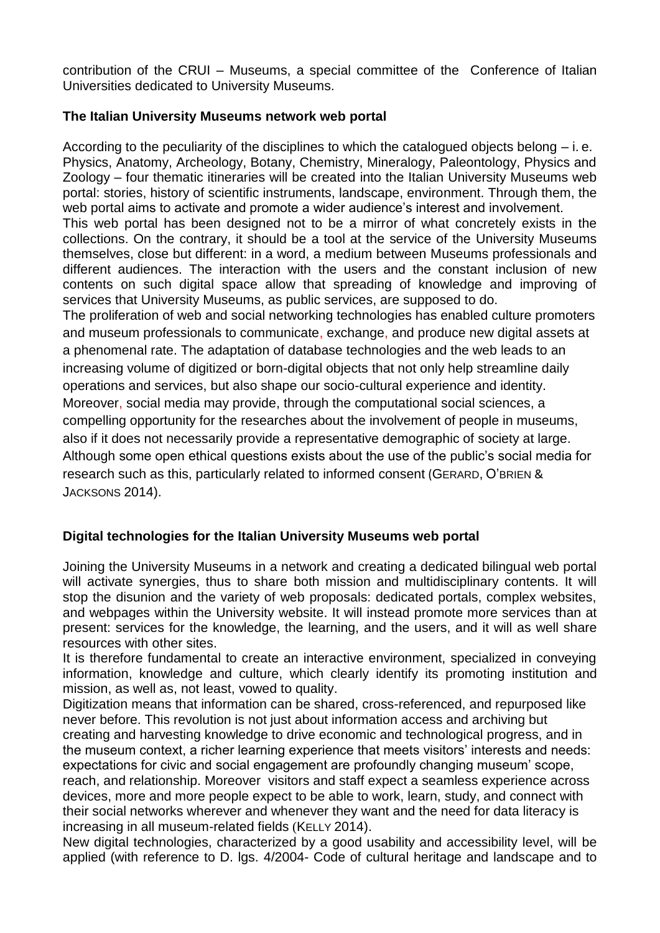contribution of the CRUI – Museums, a special committee of the Conference of Italian Universities dedicated to University Museums.

# **The Italian University Museums network web portal**

According to the peculiarity of the disciplines to which the catalogued objects belong  $-$  i. e. Physics, Anatomy, Archeology, Botany, Chemistry, Mineralogy, Paleontology, Physics and Zoology – four thematic itineraries will be created into the Italian University Museums web portal: stories, history of scientific instruments, landscape, environment. Through them, the web portal aims to activate and promote a wider audience's interest and involvement. This web portal has been designed not to be a mirror of what concretely exists in the collections. On the contrary, it should be a tool at the service of the University Museums themselves, close but different: in a word, a medium between Museums professionals and different audiences. The interaction with the users and the constant inclusion of new contents on such digital space allow that spreading of knowledge and improving of services that University Museums, as public services, are supposed to do. The proliferation of web and social networking technologies has enabled culture promoters and museum professionals to communicate, exchange, and produce new digital assets at a phenomenal rate. The adaptation of database technologies and the web leads to an increasing volume of digitized or born-digital objects that not only help streamline daily operations and services, but also shape our socio-cultural experience and identity. Moreover, social media may provide, through the computational social sciences, a compelling opportunity for the researches about the involvement of people in museums, also if it does not necessarily provide a representative demographic of society at large. Although some open ethical questions exists about the use of the public's social media for research such as this, particularly related to informed consent (GERARD, O'BRIEN & JACKSONS 2014).

# **Digital technologies for the Italian University Museums web portal**

Joining the University Museums in a network and creating a dedicated bilingual web portal will activate synergies, thus to share both mission and multidisciplinary contents. It will stop the disunion and the variety of web proposals: dedicated portals, complex websites, and webpages within the University website. It will instead promote more services than at present: services for the knowledge, the learning, and the users, and it will as well share resources with other sites.

It is therefore fundamental to create an interactive environment, specialized in conveying information, knowledge and culture, which clearly identify its promoting institution and mission, as well as, not least, vowed to quality.

Digitization means that information can be shared, cross-referenced, and repurposed like never before. This revolution is not just about information access and archiving but creating and harvesting knowledge to drive economic and technological progress, and in the museum context, a richer learning experience that meets visitors' interests and needs: expectations for civic and social engagement are profoundly changing museum' scope, reach, and relationship. Moreover visitors and staff expect a seamless experience across devices, more and more people expect to be able to work, learn, study, and connect with their social networks wherever and whenever they want and the need for data literacy is increasing in all museum-related fields (KELLY 2014).

New digital technologies, characterized by a good usability and accessibility level, will be applied (with reference to D. lgs. 4/2004- Code of cultural heritage and landscape and to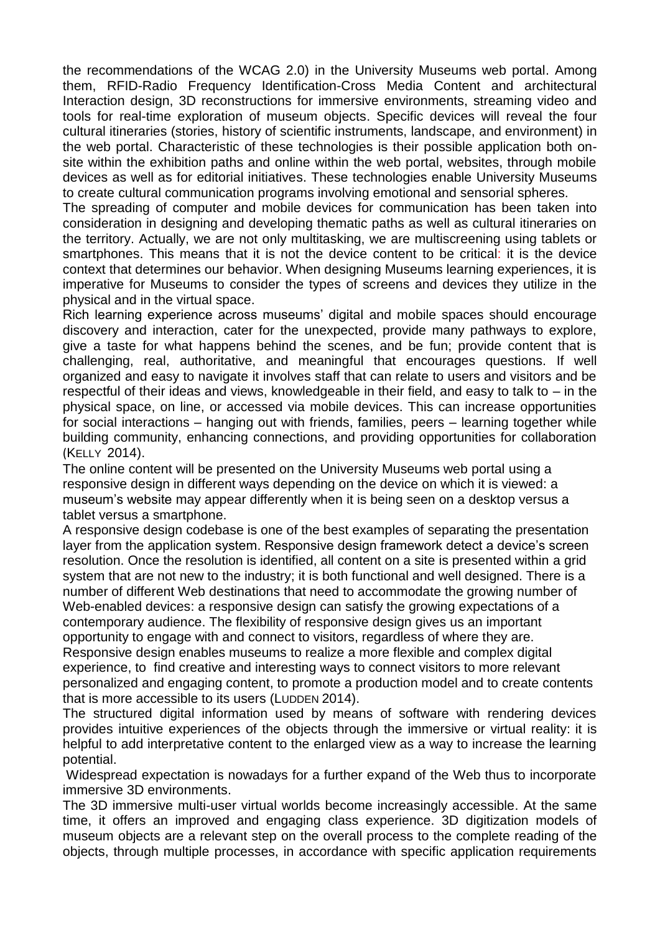the recommendations of the WCAG 2.0) in the University Museums web portal. Among them, RFID-Radio Frequency Identification-Cross Media Content and architectural Interaction design, 3D reconstructions for immersive environments, streaming video and tools for real-time exploration of museum objects. Specific devices will reveal the four cultural itineraries (stories, history of scientific instruments, landscape, and environment) in the web portal. Characteristic of these technologies is their possible application both onsite within the exhibition paths and online within the web portal, websites, through mobile devices as well as for editorial initiatives. These technologies enable University Museums to create cultural communication programs involving emotional and sensorial spheres.

The spreading of computer and mobile devices for communication has been taken into consideration in designing and developing thematic paths as well as cultural itineraries on the territory. Actually, we are not only multitasking, we are multiscreening using tablets or smartphones. This means that it is not the device content to be critical: it is the device context that determines our behavior. When designing Museums learning experiences, it is imperative for Museums to consider the types of screens and devices they utilize in the physical and in the virtual space.

Rich learning experience across museums' digital and mobile spaces should encourage discovery and interaction, cater for the unexpected, provide many pathways to explore, give a taste for what happens behind the scenes, and be fun; provide content that is challenging, real, authoritative, and meaningful that encourages questions. If well organized and easy to navigate it involves staff that can relate to users and visitors and be respectful of their ideas and views, knowledgeable in their field, and easy to talk to – in the physical space, on line, or accessed via mobile devices. This can increase opportunities for social interactions – hanging out with friends, families, peers – learning together while building community, enhancing connections, and providing opportunities for collaboration (KELLY 2014).

The online content will be presented on the University Museums web portal using a responsive design in different ways depending on the device on which it is viewed: a museum's website may appear differently when it is being seen on a desktop versus a tablet versus a smartphone.

A responsive design codebase is one of the best examples of separating the presentation layer from the application system. Responsive design framework detect a device's screen resolution. Once the resolution is identified, all content on a site is presented within a grid system that are not new to the industry; it is both functional and well designed. There is a number of different Web destinations that need to accommodate the growing number of Web-enabled devices: a responsive design can satisfy the growing expectations of a contemporary audience. The flexibility of responsive design gives us an important opportunity to engage with and connect to visitors, regardless of where they are. Responsive design enables museums to realize a more flexible and complex digital experience, to find creative and interesting ways to connect visitors to more relevant personalized and engaging content, to promote a production model and to create contents that is more accessible to its users (LUDDEN 2014).

The structured digital information used by means of software with rendering devices provides intuitive experiences of the objects through the immersive or virtual reality: it is helpful to add interpretative content to the enlarged view as a way to increase the learning potential.

Widespread expectation is nowadays for a further expand of the Web thus to incorporate immersive 3D environments.

The 3D immersive multi-user virtual worlds become increasingly accessible. At the same time, it offers an improved and engaging class experience. 3D digitization models of museum objects are a relevant step on the overall process to the complete reading of the objects, through multiple processes, in accordance with specific application requirements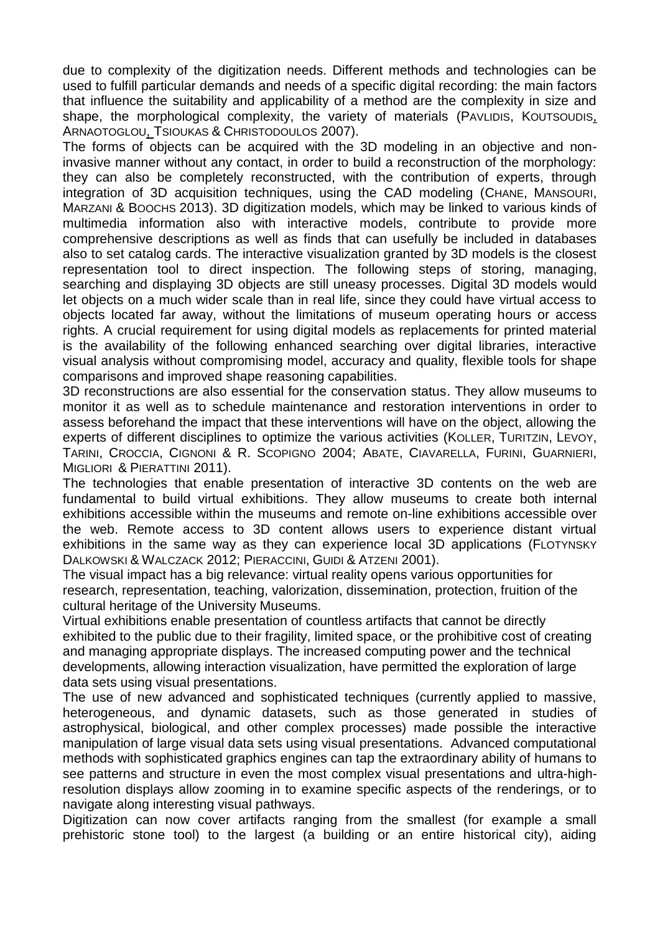due to complexity of the digitization needs. Different methods and technologies can be used to fulfill particular demands and needs of a specific digital recording: the main factors that influence the suitability and applicability of a method are the complexity in size and shape, the morphological complexity, the variety of materials (PAVLIDIS, KOUTSOUDIS, ARNAOTOGLOU, TSIOUKAS & CHRISTODOULOS 2007).

The forms of objects can be acquired with the 3D modeling in an objective and noninvasive manner without any contact, in order to build a reconstruction of the morphology: they can also be completely reconstructed, with the contribution of experts, through integration of 3D acquisition techniques, using the CAD modeling (CHANE, MANSOURI, MARZANI & BOOCHS 2013). 3D digitization models, which may be linked to various kinds of multimedia information also with interactive models, contribute to provide more comprehensive descriptions as well as finds that can usefully be included in databases also to set catalog cards. The interactive visualization granted by 3D models is the closest representation tool to direct inspection. The following steps of storing, managing, searching and displaying 3D objects are still uneasy processes. Digital 3D models would let objects on a much wider scale than in real life, since they could have virtual access to objects located far away, without the limitations of museum operating hours or access rights. A crucial requirement for using digital models as replacements for printed material is the availability of the following enhanced searching over digital libraries, interactive visual analysis without compromising model, accuracy and quality, flexible tools for shape comparisons and improved shape reasoning capabilities.

3D reconstructions are also essential for the conservation status. They allow museums to monitor it as well as to schedule maintenance and restoration interventions in order to assess beforehand the impact that these interventions will have on the object, allowing the experts of different disciplines to optimize the various activities (KOLLER, TURITZIN, LEVOY, TARINI, CROCCIA, CIGNONI & R. SCOPIGNO 2004; ABATE, CIAVARELLA, FURINI, GUARNIERI, MIGLIORI & PIERATTINI 2011).

The technologies that enable presentation of interactive 3D contents on the web are fundamental to build virtual exhibitions. They allow museums to create both internal exhibitions accessible within the museums and remote on-line exhibitions accessible over the web. Remote access to 3D content allows users to experience distant virtual exhibitions in the same way as they can experience local 3D applications (FLOTYNSKY DALKOWSKI & WALCZACK 2012; PIERACCINI, GUIDI & ATZENI 2001).

The visual impact has a big relevance: virtual reality opens various opportunities for research, representation, teaching, valorization, dissemination, protection, fruition of the cultural heritage of the University Museums.

Virtual exhibitions enable presentation of countless artifacts that cannot be directly exhibited to the public due to their fragility, limited space, or the prohibitive cost of creating and managing appropriate displays. The increased computing power and the technical developments, allowing interaction visualization, have permitted the exploration of large data sets using visual presentations.

The use of new advanced and sophisticated techniques (currently applied to massive, heterogeneous, and dynamic datasets, such as those generated in studies of astrophysical, biological, and other complex processes) made possible the interactive manipulation of large visual data sets using visual presentations. Advanced computational methods with sophisticated graphics engines can tap the extraordinary ability of humans to see patterns and structure in even the most complex visual presentations and ultra-highresolution displays allow zooming in to examine specific aspects of the renderings, or to navigate along interesting visual pathways.

Digitization can now cover artifacts ranging from the smallest (for example a small prehistoric stone tool) to the largest (a building or an entire historical city), aiding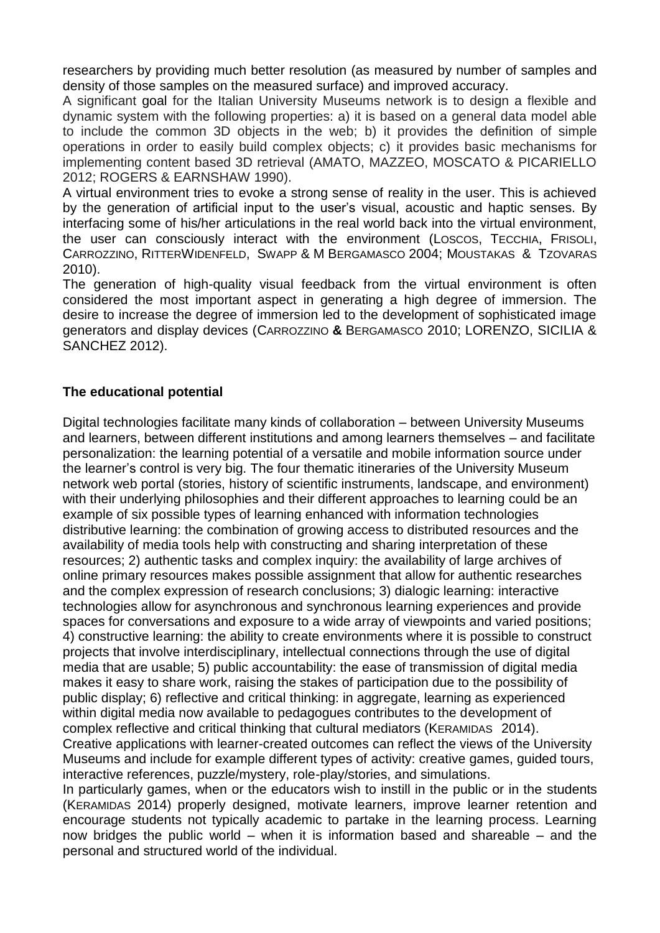researchers by providing much better resolution (as measured by number of samples and density of those samples on the measured surface) and improved accuracy.

A significant goal for the Italian University Museums network is to design a flexible and dynamic system with the following properties: a) it is based on a general data model able to include the common 3D objects in the web; b) it provides the definition of simple operations in order to easily build complex objects; c) it provides basic mechanisms for implementing content based 3D retrieval (AMATO, MAZZEO, MOSCATO & PICARIELLO 2012; ROGERS & EARNSHAW 1990).

A virtual environment tries to evoke a strong sense of reality in the user. This is achieved by the generation of artificial input to the user's visual, acoustic and haptic senses. By interfacing some of his/her articulations in the real world back into the virtual environment, the user can consciously interact with the environment (LOSCOS, TECCHIA, FRISOLI, CARROZZINO, RITTERWIDENFELD, SWAPP & M BERGAMASCO 2004; MOUSTAKAS & TZOVARAS 2010).

The generation of high-quality visual feedback from the virtual environment is often considered the most important aspect in generating a high degree of immersion. The desire to increase the degree of immersion led to the development of sophisticated image generators and display devices (CARROZZINO **&** BERGAMASCO 2010; LORENZO, SICILIA & SANCHEZ 2012).

## **The educational potential**

Digital technologies facilitate many kinds of collaboration – between University Museums and learners, between different institutions and among learners themselves – and facilitate personalization: the learning potential of a versatile and mobile information source under the learner's control is very big. The four thematic itineraries of the University Museum network web portal (stories, history of scientific instruments, landscape, and environment) with their underlying philosophies and their different approaches to learning could be an example of six possible types of learning enhanced with information technologies distributive learning: the combination of growing access to distributed resources and the availability of media tools help with constructing and sharing interpretation of these resources; 2) authentic tasks and complex inquiry: the availability of large archives of online primary resources makes possible assignment that allow for authentic researches and the complex expression of research conclusions; 3) dialogic learning: interactive technologies allow for asynchronous and synchronous learning experiences and provide spaces for conversations and exposure to a wide array of viewpoints and varied positions; 4) constructive learning: the ability to create environments where it is possible to construct projects that involve interdisciplinary, intellectual connections through the use of digital media that are usable; 5) public accountability: the ease of transmission of digital media makes it easy to share work, raising the stakes of participation due to the possibility of public display; 6) reflective and critical thinking: in aggregate, learning as experienced within digital media now available to pedagogues contributes to the development of complex reflective and critical thinking that cultural mediators (KERAMIDAS 2014). Creative applications with learner-created outcomes can reflect the views of the University

Museums and include for example different types of activity: creative games, guided tours, interactive references, puzzle/mystery, role-play/stories, and simulations.

In particularly games, when or the educators wish to instill in the public or in the students (KERAMIDAS 2014) properly designed, motivate learners, improve learner retention and encourage students not typically academic to partake in the learning process. Learning now bridges the public world – when it is information based and shareable – and the personal and structured world of the individual.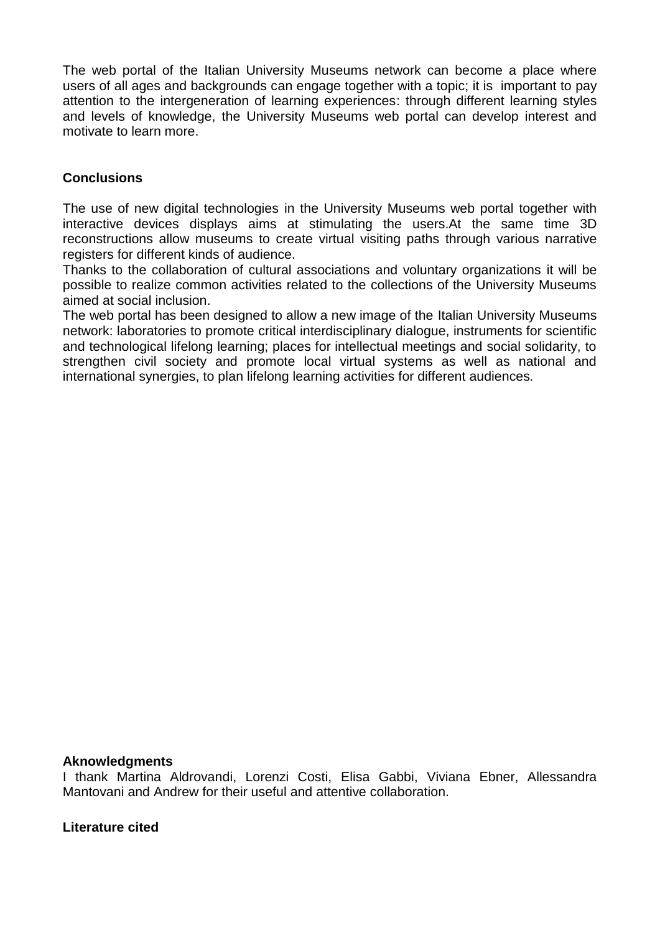The web portal of the Italian University Museums network can become a place where users of all ages and backgrounds can engage together with a topic; it is important to pay attention to the intergeneration of learning experiences: through different learning styles and levels of knowledge, the University Museums web portal can develop interest and motivate to learn more.

# **Conclusions**

The use of new digital technologies in the University Museums web portal together with interactive devices displays aims at stimulating the users.At the same time 3D reconstructions allow museums to create virtual visiting paths through various narrative registers for different kinds of audience.

Thanks to the collaboration of cultural associations and voluntary organizations it will be possible to realize common activities related to the collections of the University Museums aimed at social inclusion.

The web portal has been designed to allow a new image of the Italian University Museums network: laboratories to promote critical interdisciplinary dialogue, instruments for scientific and technological lifelong learning; places for intellectual meetings and social solidarity, to strengthen civil society and promote local virtual systems as well as national and international synergies, to plan lifelong learning activities for different audiences*.*

#### **Aknowledgments**

I thank Martina Aldrovandi, Lorenzi Costi, Elisa Gabbi, Viviana Ebner, Allessandra Mantovani and Andrew for their useful and attentive collaboration.

#### **Literature cited**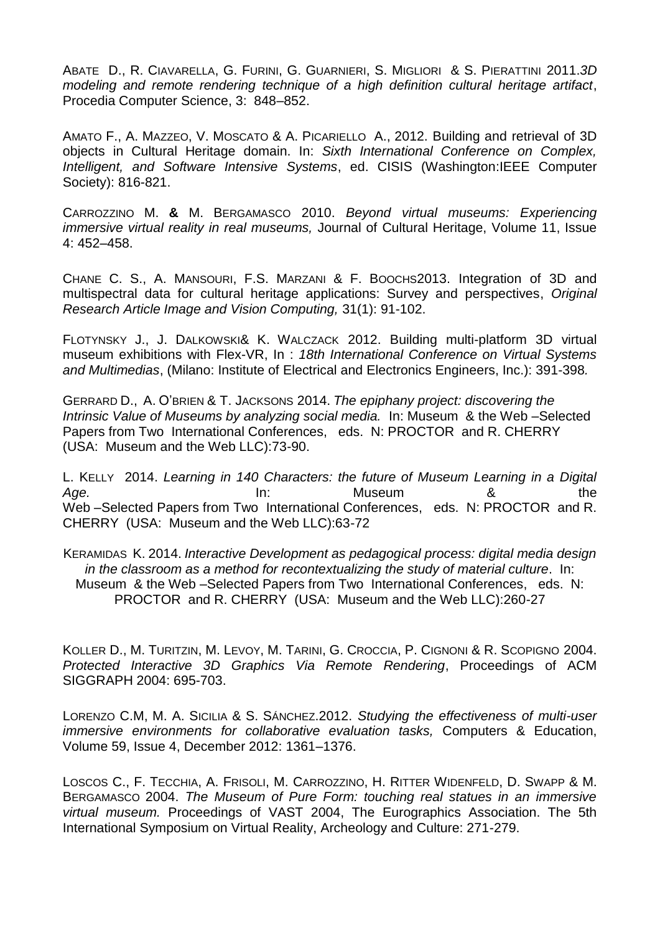ABATE D., R. CIAVARELLA, G. FURINI, G. GUARNIERI, S. MIGLIORI & S. PIERATTINI 2011.*3D modeling and remote rendering technique of a high definition cultural heritage artifact*, Procedia Computer Science, 3: 848–852.

AMATO F., A. MAZZEO, V. MOSCATO & A. PICARIELLO A., 2012. Building and retrieval of 3D objects in Cultural Heritage domain. In: *Sixth International Conference on Complex, Intelligent, and Software Intensive Systems*, ed. CISIS (Washington:IEEE Computer Society): 816-821.

CARROZZINO M. **&** M. BERGAMASCO 2010. *Beyond virtual museums: Experiencing immersive virtual reality in real museums,* Journal of Cultural Heritage, Volume 11, Issue 4: 452–458.

CHANE C. S., A. MANSOURI, F.S. MARZANI & F. BOOCHS2013. [Integration of 3D and](http://www.sciencedirect.com/science/article/pii/S0262885612001862)  [multispectral data for cultural heritage applications: Survey and perspectives,](http://www.sciencedirect.com/science/article/pii/S0262885612001862) *Original Research Article Image and Vision Computing,* 31(1): 91-102.

FLOTYNSKY J., J. DALKOWSKI& K. WALCZACK 2012. Building multi-platform 3D virtual museum exhibitions with Flex-VR, In : *18th International Conference on Virtual Systems and Multimedias*, (Milano: Institute of Electrical and Electronics Engineers, Inc.): 391-398*.*

GERRARD D., A. O'BRIEN & T. JACKSONS 2014. *The epiphany project: discovering the Intrinsic Value of Museums by analyzing social media.* In: Museum & the Web –Selected Papers from Two International Conferences, eds. N: PROCTOR and R. CHERRY (USA: Museum and the Web LLC):73-90.

L. KELLY 2014. *Learning in 140 Characters: the future of Museum Learning in a Digital Age.* In: Museum & the Web –Selected Papers from Two International Conferences, eds. N: PROCTOR and R. CHERRY (USA: Museum and the Web LLC):63-72

KERAMIDAS K. 2014. *Interactive Development as pedagogical process: digital media design in the classroom as a method for recontextualizing the study of material culture*. In: Museum & the Web –Selected Papers from Two International Conferences, eds. N: PROCTOR and R. CHERRY (USA: Museum and the Web LLC):260-27

KOLLER D., M. TURITZIN, M. LEVOY, M. TARINI, G. CROCCIA, P. CIGNONI & R. SCOPIGNO 2004. *Protected Interactive 3D Graphics Via Remote Rendering*, Proceedings of ACM SIGGRAPH 2004: 695-703.

LORENZO C.M, M. A. SICILIA & S. SÁNCHEZ.2012. *Studying the effectiveness of multi-user immersive environments for collaborative evaluation tasks,* Computers & Education, Volume 59, Issue 4, December 2012: 1361–1376.

LOSCOS C., F. TECCHIA, A. FRISOLI, M. CARROZZINO, H. RITTER WIDENFELD, D. SWAPP & M. BERGAMASCO 2004. *The Museum of Pure Form: touching real statues in an immersive virtual museum.* Proceedings of VAST 2004, The Eurographics Association. The 5th International Symposium on Virtual Reality, Archeology and Culture: 271-279.